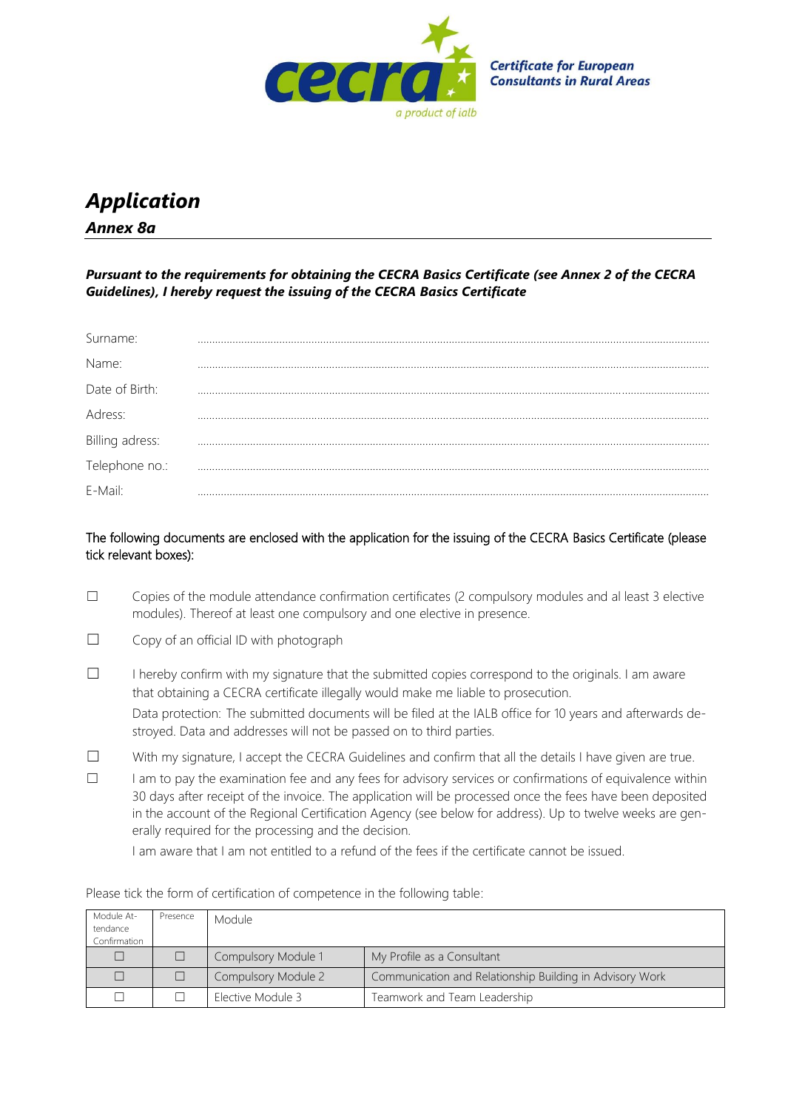

## *Application Annex 8a*

*Pursuant to the requirements for obtaining the CECRA Basics Certificate (see Annex 2 of the CECRA Guidelines), I hereby request the issuing of the CECRA Basics Certificate*

| Surname:        |  |
|-----------------|--|
| Name:           |  |
| Date of Birth:  |  |
| Adress:         |  |
| Billing adress: |  |
| Telephone no.:  |  |
| E-Mail:         |  |

The following documents are enclosed with the application for the issuing of the CECRA Basics Certificate (please tick relevant boxes):

- ☐ Copies of the module attendance confirmation certificates (2 compulsory modules and al least 3 elective modules). Thereof at least one compulsory and one elective in presence.
- ☐ Copy of an official ID with photograph
- ☐ I hereby confirm with my signature that the submitted copies correspond to the originals. I am aware that obtaining a CECRA certificate illegally would make me liable to prosecution. Data protection: The submitted documents will be filed at the IALB office for 10 years and afterwards destroyed. Data and addresses will not be passed on to third parties.
- ☐ With my signature, I accept the CECRA Guidelines and confirm that all the details I have given are true.
- ☐ I am to pay the examination fee and any fees for advisory services or confirmations of equivalence within 30 days after receipt of the invoice. The application will be processed once the fees have been deposited in the account of the Regional Certification Agency (see below for address). Up to twelve weeks are generally required for the processing and the decision.

I am aware that I am not entitled to a refund of the fees if the certificate cannot be issued.

| Module At-<br>tendance<br>Confirmation | Presence | Module              |                                                          |
|----------------------------------------|----------|---------------------|----------------------------------------------------------|
|                                        |          | Compulsory Module 1 | My Profile as a Consultant                               |
|                                        |          | Compulsory Module 2 | Communication and Relationship Building in Advisory Work |
|                                        |          | Elective Module 3   | Teamwork and Team Leadership                             |

Please tick the form of certification of competence in the following table: